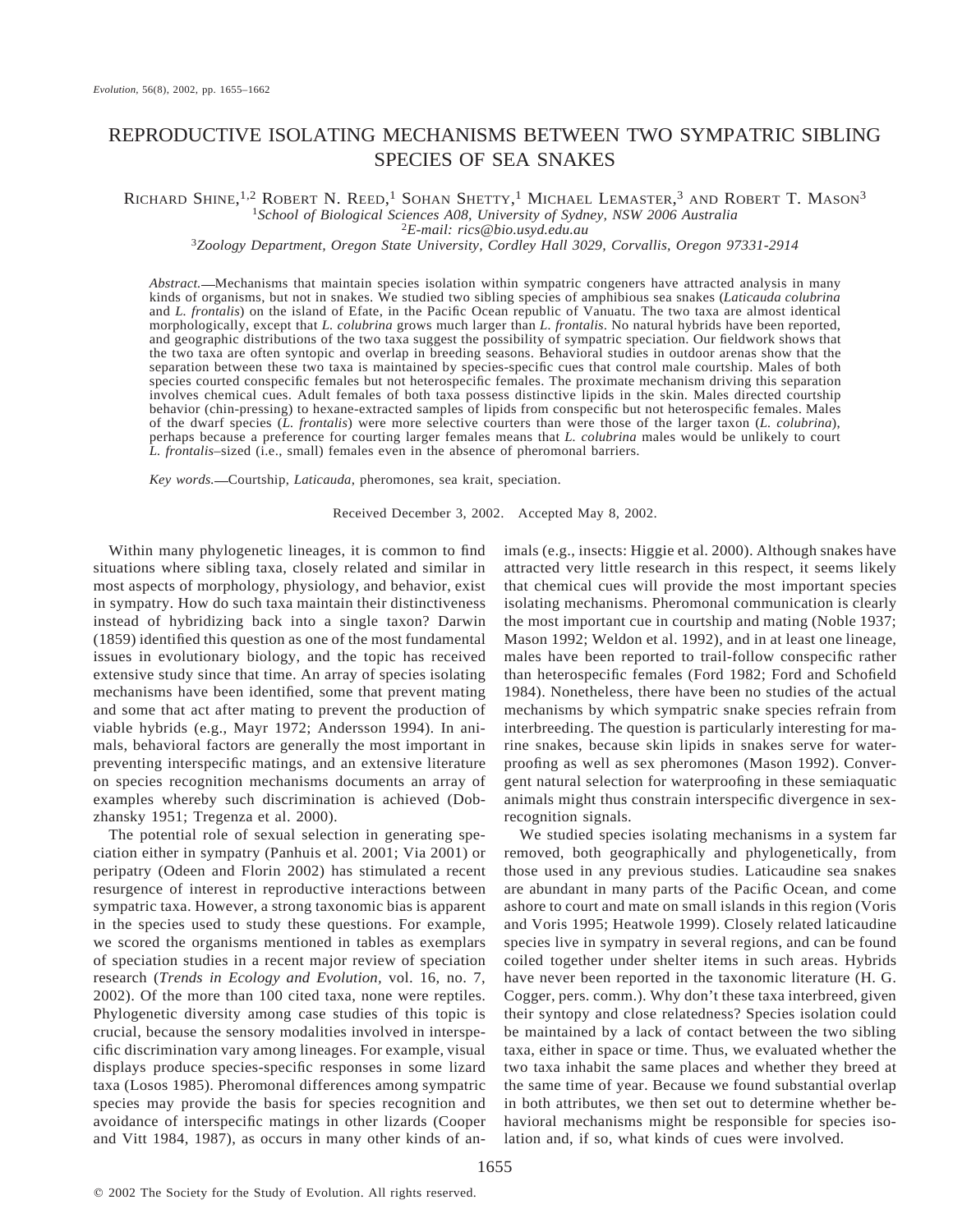# REPRODUCTIVE ISOLATING MECHANISMS BETWEEN TWO SYMPATRIC SIBLING SPECIES OF SEA SNAKES

Richard Shine,<sup>1,2</sup> Robert N. Reed,<sup>1</sup> Sohan Shetty,<sup>1</sup> Michael Lemaster,<sup>3</sup> and Robert T. Mason<sup>3</sup> <sup>1</sup>*School of Biological Sciences A08, University of Sydney, NSW 2006 Australia* <sup>2</sup>*E-mail: rics@bio.usyd.edu.au* <sup>3</sup>*Zoology Department, Oregon State University, Cordley Hall 3029, Corvallis, Oregon 97331-2914*

*Abstract.* Mechanisms that maintain species isolation within sympatric congeners have attracted analysis in many kinds of organisms, but not in snakes. We studied two sibling species of amphibious sea snakes (*Laticauda colubrina* and *L. frontalis*) on the island of Efate, in the Pacific Ocean republic of Vanuatu. The two taxa are almost identical morphologically, except that *L. colubrina* grows much larger than *L. frontalis*. No natural hybrids have been reported, and geographic distributions of the two taxa suggest the possibility of sympatric speciation. Our fieldwork shows that the two taxa are often syntopic and overlap in breeding seasons. Behavioral studies in outdoor arenas show that the separation between these two taxa is maintained by species-specific cues that control male courtship. Males of both species courted conspecific females but not heterospecific females. The proximate mechanism driving this separation involves chemical cues. Adult females of both taxa possess distinctive lipids in the skin. Males directed courtship behavior (chin-pressing) to hexane-extracted samples of lipids from conspecific but not heterospecific females. Males of the dwarf species (*L. frontalis*) were more selective courters than were those of the larger taxon (*L. colubrina*), perhaps because a preference for courting larger females means that *L. colubrina* males would be unlikely to court *L. frontalis*–sized (i.e., small) females even in the absence of pheromonal barriers.

Key words.-Courtship, *Laticauda*, pheromones, sea krait, speciation.

Received December 3, 2002. Accepted May 8, 2002.

Within many phylogenetic lineages, it is common to find situations where sibling taxa, closely related and similar in most aspects of morphology, physiology, and behavior, exist in sympatry. How do such taxa maintain their distinctiveness instead of hybridizing back into a single taxon? Darwin (1859) identified this question as one of the most fundamental issues in evolutionary biology, and the topic has received extensive study since that time. An array of species isolating mechanisms have been identified, some that prevent mating and some that act after mating to prevent the production of viable hybrids (e.g., Mayr 1972; Andersson 1994). In animals, behavioral factors are generally the most important in preventing interspecific matings, and an extensive literature on species recognition mechanisms documents an array of examples whereby such discrimination is achieved (Dobzhansky 1951; Tregenza et al. 2000).

The potential role of sexual selection in generating speciation either in sympatry (Panhuis et al. 2001; Via 2001) or peripatry (Odeen and Florin 2002) has stimulated a recent resurgence of interest in reproductive interactions between sympatric taxa. However, a strong taxonomic bias is apparent in the species used to study these questions. For example, we scored the organisms mentioned in tables as exemplars of speciation studies in a recent major review of speciation research (*Trends in Ecology and Evolution,* vol. 16, no. 7, 2002). Of the more than 100 cited taxa, none were reptiles. Phylogenetic diversity among case studies of this topic is crucial, because the sensory modalities involved in interspecific discrimination vary among lineages. For example, visual displays produce species-specific responses in some lizard taxa (Losos 1985). Pheromonal differences among sympatric species may provide the basis for species recognition and avoidance of interspecific matings in other lizards (Cooper and Vitt 1984, 1987), as occurs in many other kinds of animals (e.g., insects: Higgie et al. 2000). Although snakes have attracted very little research in this respect, it seems likely that chemical cues will provide the most important species isolating mechanisms. Pheromonal communication is clearly the most important cue in courtship and mating (Noble 1937; Mason 1992; Weldon et al. 1992), and in at least one lineage, males have been reported to trail-follow conspecific rather than heterospecific females (Ford 1982; Ford and Schofield 1984). Nonetheless, there have been no studies of the actual mechanisms by which sympatric snake species refrain from interbreeding. The question is particularly interesting for marine snakes, because skin lipids in snakes serve for waterproofing as well as sex pheromones (Mason 1992). Convergent natural selection for waterproofing in these semiaquatic animals might thus constrain interspecific divergence in sexrecognition signals.

We studied species isolating mechanisms in a system far removed, both geographically and phylogenetically, from those used in any previous studies. Laticaudine sea snakes are abundant in many parts of the Pacific Ocean, and come ashore to court and mate on small islands in this region (Voris and Voris 1995; Heatwole 1999). Closely related laticaudine species live in sympatry in several regions, and can be found coiled together under shelter items in such areas. Hybrids have never been reported in the taxonomic literature (H. G. Cogger, pers. comm.). Why don't these taxa interbreed, given their syntopy and close relatedness? Species isolation could be maintained by a lack of contact between the two sibling taxa, either in space or time. Thus, we evaluated whether the two taxa inhabit the same places and whether they breed at the same time of year. Because we found substantial overlap in both attributes, we then set out to determine whether behavioral mechanisms might be responsible for species isolation and, if so, what kinds of cues were involved.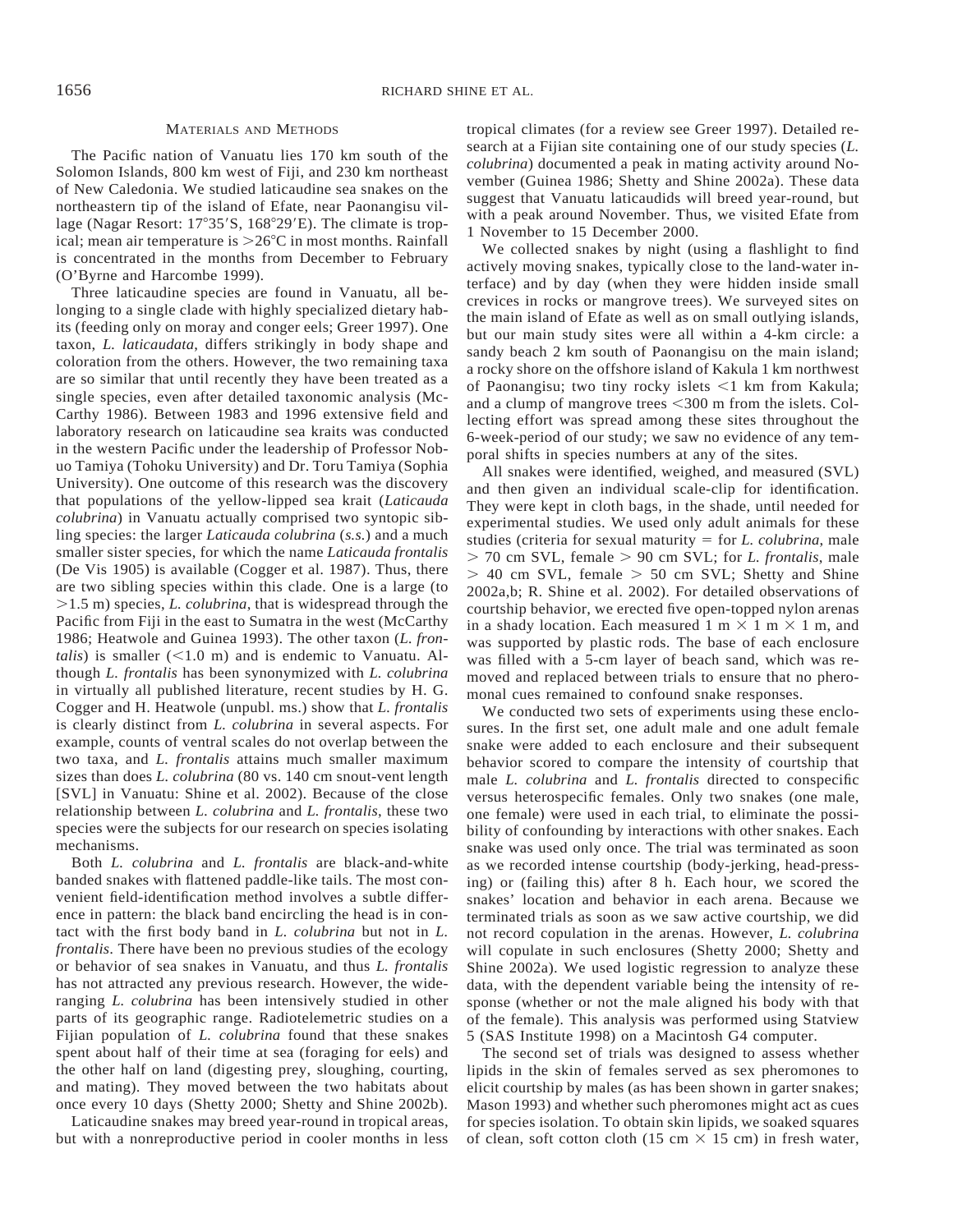### MATERIALS AND METHODS

The Pacific nation of Vanuatu lies 170 km south of the Solomon Islands, 800 km west of Fiji, and 230 km northeast of New Caledonia. We studied laticaudine sea snakes on the northeastern tip of the island of Efate, near Paonangisu village (Nagar Resort:  $17^{\circ}35^{\prime}$ S, 168°29 $^{\prime}$ E). The climate is tropical; mean air temperature is  $>26^{\circ}$ C in most months. Rainfall is concentrated in the months from December to February (O'Byrne and Harcombe 1999).

Three laticaudine species are found in Vanuatu, all belonging to a single clade with highly specialized dietary habits (feeding only on moray and conger eels; Greer 1997). One taxon, *L. laticaudata*, differs strikingly in body shape and coloration from the others. However, the two remaining taxa are so similar that until recently they have been treated as a single species, even after detailed taxonomic analysis (Mc-Carthy 1986). Between 1983 and 1996 extensive field and laboratory research on laticaudine sea kraits was conducted in the western Pacific under the leadership of Professor Nobuo Tamiya (Tohoku University) and Dr. Toru Tamiya (Sophia University). One outcome of this research was the discovery that populations of the yellow-lipped sea krait (*Laticauda colubrina*) in Vanuatu actually comprised two syntopic sibling species: the larger *Laticauda colubrina* (*s.s.*) and a much smaller sister species, for which the name *Laticauda frontalis* (De Vis 1905) is available (Cogger et al. 1987). Thus, there are two sibling species within this clade. One is a large (to .1.5 m) species, *L. colubrina*, that is widespread through the Pacific from Fiji in the east to Sumatra in the west (McCarthy 1986; Heatwole and Guinea 1993). The other taxon (*L. frontalis*) is smaller  $(<1.0$  m) and is endemic to Vanuatu. Although *L. frontalis* has been synonymized with *L. colubrina* in virtually all published literature, recent studies by H. G. Cogger and H. Heatwole (unpubl. ms.) show that *L. frontalis* is clearly distinct from *L. colubrina* in several aspects. For example, counts of ventral scales do not overlap between the two taxa, and *L. frontalis* attains much smaller maximum sizes than does *L. colubrina* (80 vs. 140 cm snout-vent length [SVL] in Vanuatu: Shine et al. 2002). Because of the close relationship between *L. colubrina* and *L. frontalis*, these two species were the subjects for our research on species isolating mechanisms.

Both *L. colubrina* and *L. frontalis* are black-and-white banded snakes with flattened paddle-like tails. The most convenient field-identification method involves a subtle difference in pattern: the black band encircling the head is in contact with the first body band in *L. colubrina* but not in *L. frontalis*. There have been no previous studies of the ecology or behavior of sea snakes in Vanuatu, and thus *L. frontalis* has not attracted any previous research. However, the wideranging *L. colubrina* has been intensively studied in other parts of its geographic range. Radiotelemetric studies on a Fijian population of *L. colubrina* found that these snakes spent about half of their time at sea (foraging for eels) and the other half on land (digesting prey, sloughing, courting, and mating). They moved between the two habitats about once every 10 days (Shetty 2000; Shetty and Shine 2002b).

Laticaudine snakes may breed year-round in tropical areas, but with a nonreproductive period in cooler months in less tropical climates (for a review see Greer 1997). Detailed research at a Fijian site containing one of our study species (*L. colubrina*) documented a peak in mating activity around November (Guinea 1986; Shetty and Shine 2002a). These data suggest that Vanuatu laticaudids will breed year-round, but with a peak around November. Thus, we visited Efate from 1 November to 15 December 2000.

We collected snakes by night (using a flashlight to find actively moving snakes, typically close to the land-water interface) and by day (when they were hidden inside small crevices in rocks or mangrove trees). We surveyed sites on the main island of Efate as well as on small outlying islands, but our main study sites were all within a 4-km circle: a sandy beach 2 km south of Paonangisu on the main island; a rocky shore on the offshore island of Kakula 1 km northwest of Paonangisu; two tiny rocky islets  $\leq 1$  km from Kakula; and a clump of mangrove trees  $<$  300 m from the islets. Collecting effort was spread among these sites throughout the 6-week-period of our study; we saw no evidence of any temporal shifts in species numbers at any of the sites.

All snakes were identified, weighed, and measured (SVL) and then given an individual scale-clip for identification. They were kept in cloth bags, in the shade, until needed for experimental studies. We used only adult animals for these studies (criteria for sexual maturity  $=$  for *L. colubrina*, male  $>$  70 cm SVL, female  $>$  90 cm SVL; for *L. frontalis*, male  $> 40$  cm SVL, female  $> 50$  cm SVL; Shetty and Shine 2002a,b; R. Shine et al. 2002). For detailed observations of courtship behavior, we erected five open-topped nylon arenas in a shady location. Each measured 1 m  $\times$  1 m  $\times$  1 m, and was supported by plastic rods. The base of each enclosure was filled with a 5-cm layer of beach sand, which was removed and replaced between trials to ensure that no pheromonal cues remained to confound snake responses.

We conducted two sets of experiments using these enclosures. In the first set, one adult male and one adult female snake were added to each enclosure and their subsequent behavior scored to compare the intensity of courtship that male *L. colubrina* and *L. frontalis* directed to conspecific versus heterospecific females. Only two snakes (one male, one female) were used in each trial, to eliminate the possibility of confounding by interactions with other snakes. Each snake was used only once. The trial was terminated as soon as we recorded intense courtship (body-jerking, head-pressing) or (failing this) after 8 h. Each hour, we scored the snakes' location and behavior in each arena. Because we terminated trials as soon as we saw active courtship, we did not record copulation in the arenas. However, *L. colubrina* will copulate in such enclosures (Shetty 2000; Shetty and Shine 2002a). We used logistic regression to analyze these data, with the dependent variable being the intensity of response (whether or not the male aligned his body with that of the female). This analysis was performed using Statview 5 (SAS Institute 1998) on a Macintosh G4 computer.

The second set of trials was designed to assess whether lipids in the skin of females served as sex pheromones to elicit courtship by males (as has been shown in garter snakes; Mason 1993) and whether such pheromones might act as cues for species isolation. To obtain skin lipids, we soaked squares of clean, soft cotton cloth (15 cm  $\times$  15 cm) in fresh water,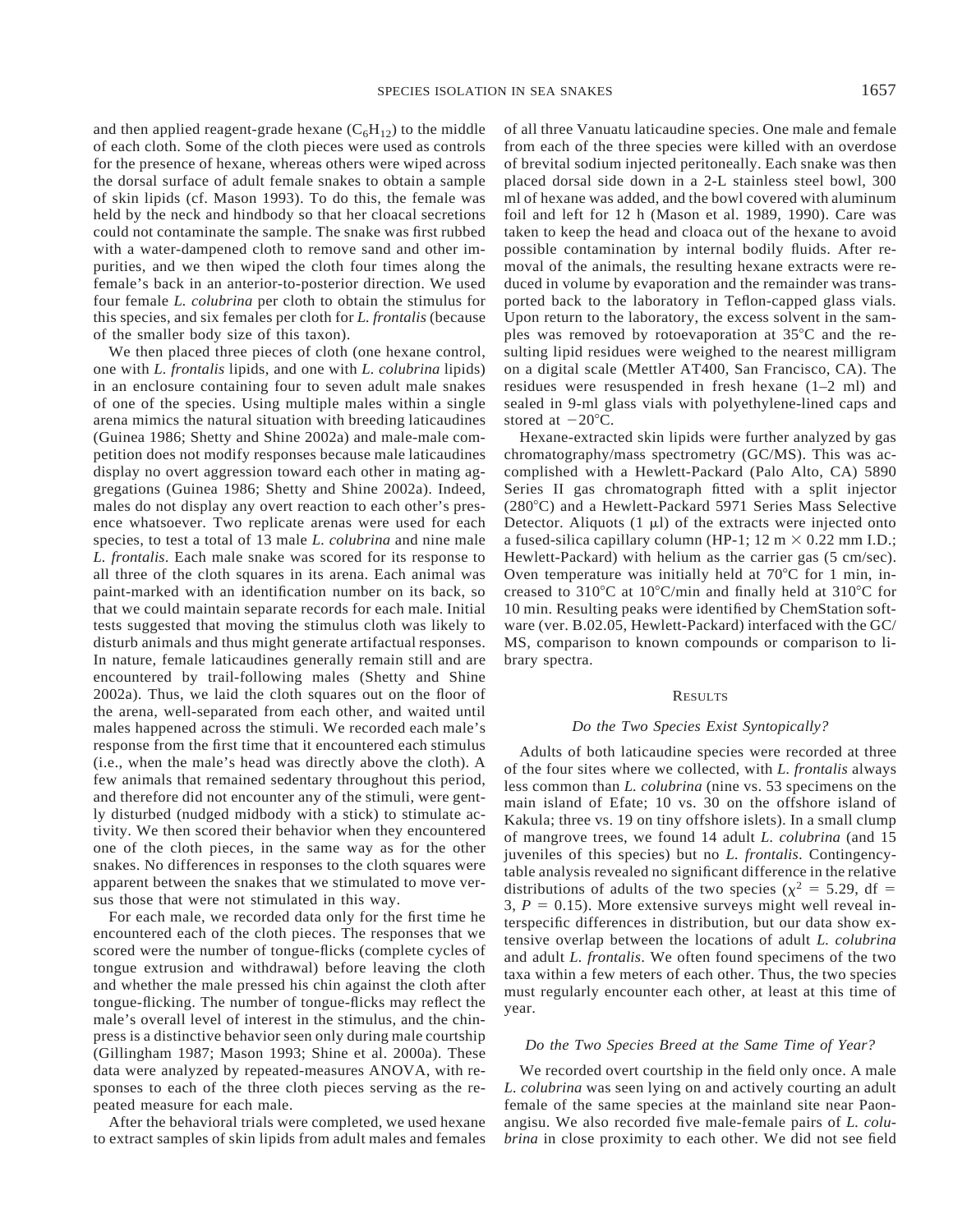and then applied reagent-grade hexane  $(C_6H_{12})$  to the middle of each cloth. Some of the cloth pieces were used as controls for the presence of hexane, whereas others were wiped across the dorsal surface of adult female snakes to obtain a sample of skin lipids (cf. Mason 1993). To do this, the female was held by the neck and hindbody so that her cloacal secretions could not contaminate the sample. The snake was first rubbed with a water-dampened cloth to remove sand and other impurities, and we then wiped the cloth four times along the female's back in an anterior-to-posterior direction. We used four female *L. colubrina* per cloth to obtain the stimulus for this species, and six females per cloth for *L. frontalis* (because of the smaller body size of this taxon).

We then placed three pieces of cloth (one hexane control, one with *L. frontalis* lipids, and one with *L. colubrina* lipids) in an enclosure containing four to seven adult male snakes of one of the species. Using multiple males within a single arena mimics the natural situation with breeding laticaudines (Guinea 1986; Shetty and Shine 2002a) and male-male competition does not modify responses because male laticaudines display no overt aggression toward each other in mating aggregations (Guinea 1986; Shetty and Shine 2002a). Indeed, males do not display any overt reaction to each other's presence whatsoever. Two replicate arenas were used for each species, to test a total of 13 male *L. colubrina* and nine male *L. frontalis*. Each male snake was scored for its response to all three of the cloth squares in its arena. Each animal was paint-marked with an identification number on its back, so that we could maintain separate records for each male. Initial tests suggested that moving the stimulus cloth was likely to disturb animals and thus might generate artifactual responses. In nature, female laticaudines generally remain still and are encountered by trail-following males (Shetty and Shine 2002a). Thus, we laid the cloth squares out on the floor of the arena, well-separated from each other, and waited until males happened across the stimuli. We recorded each male's response from the first time that it encountered each stimulus (i.e., when the male's head was directly above the cloth). A few animals that remained sedentary throughout this period, and therefore did not encounter any of the stimuli, were gently disturbed (nudged midbody with a stick) to stimulate activity. We then scored their behavior when they encountered one of the cloth pieces, in the same way as for the other snakes. No differences in responses to the cloth squares were apparent between the snakes that we stimulated to move versus those that were not stimulated in this way.

For each male, we recorded data only for the first time he encountered each of the cloth pieces. The responses that we scored were the number of tongue-flicks (complete cycles of tongue extrusion and withdrawal) before leaving the cloth and whether the male pressed his chin against the cloth after tongue-flicking. The number of tongue-flicks may reflect the male's overall level of interest in the stimulus, and the chinpress is a distinctive behavior seen only during male courtship (Gillingham 1987; Mason 1993; Shine et al. 2000a). These data were analyzed by repeated-measures ANOVA, with responses to each of the three cloth pieces serving as the repeated measure for each male.

After the behavioral trials were completed, we used hexane to extract samples of skin lipids from adult males and females of all three Vanuatu laticaudine species. One male and female from each of the three species were killed with an overdose of brevital sodium injected peritoneally. Each snake was then placed dorsal side down in a 2-L stainless steel bowl, 300 ml of hexane was added, and the bowl covered with aluminum foil and left for 12 h (Mason et al. 1989, 1990). Care was taken to keep the head and cloaca out of the hexane to avoid possible contamination by internal bodily fluids. After removal of the animals, the resulting hexane extracts were reduced in volume by evaporation and the remainder was transported back to the laboratory in Teflon-capped glass vials. Upon return to the laboratory, the excess solvent in the samples was removed by rotoevaporation at  $35^{\circ}$ C and the resulting lipid residues were weighed to the nearest milligram on a digital scale (Mettler AT400, San Francisco, CA). The residues were resuspended in fresh hexane (1–2 ml) and sealed in 9-ml glass vials with polyethylene-lined caps and stored at  $-20^{\circ}$ C.

Hexane-extracted skin lipids were further analyzed by gas chromatography/mass spectrometry (GC/MS). This was accomplished with a Hewlett-Packard (Palo Alto, CA) 5890 Series II gas chromatograph fitted with a split injector (280°C) and a Hewlett-Packard 5971 Series Mass Selective Detector. Aliquots  $(1 \mu l)$  of the extracts were injected onto a fused-silica capillary column (HP-1;  $12 \text{ m} \times 0.22 \text{ mm}$  I.D.; Hewlett-Packard) with helium as the carrier gas (5 cm/sec). Oven temperature was initially held at  $70^{\circ}$ C for 1 min, increased to  $310^{\circ}$ C at  $10^{\circ}$ C/min and finally held at  $310^{\circ}$ C for 10 min. Resulting peaks were identified by ChemStation software (ver. B.02.05, Hewlett-Packard) interfaced with the GC/ MS, comparison to known compounds or comparison to library spectra.

#### RESULTS

### *Do the Two Species Exist Syntopically?*

Adults of both laticaudine species were recorded at three of the four sites where we collected, with *L. frontalis* always less common than *L. colubrina* (nine vs. 53 specimens on the main island of Efate; 10 vs. 30 on the offshore island of Kakula; three vs. 19 on tiny offshore islets). In a small clump of mangrove trees, we found 14 adult *L. colubrina* (and 15 juveniles of this species) but no *L. frontalis*. Contingencytable analysis revealed no significant difference in the relative distributions of adults of the two species ( $\chi^2$  = 5.29, df = 3,  $P = 0.15$ ). More extensive surveys might well reveal interspecific differences in distribution, but our data show extensive overlap between the locations of adult *L. colubrina* and adult *L. frontalis*. We often found specimens of the two taxa within a few meters of each other. Thus, the two species must regularly encounter each other, at least at this time of year.

#### *Do the Two Species Breed at the Same Time of Year?*

We recorded overt courtship in the field only once. A male *L. colubrina* was seen lying on and actively courting an adult female of the same species at the mainland site near Paonangisu. We also recorded five male-female pairs of *L. colubrina* in close proximity to each other. We did not see field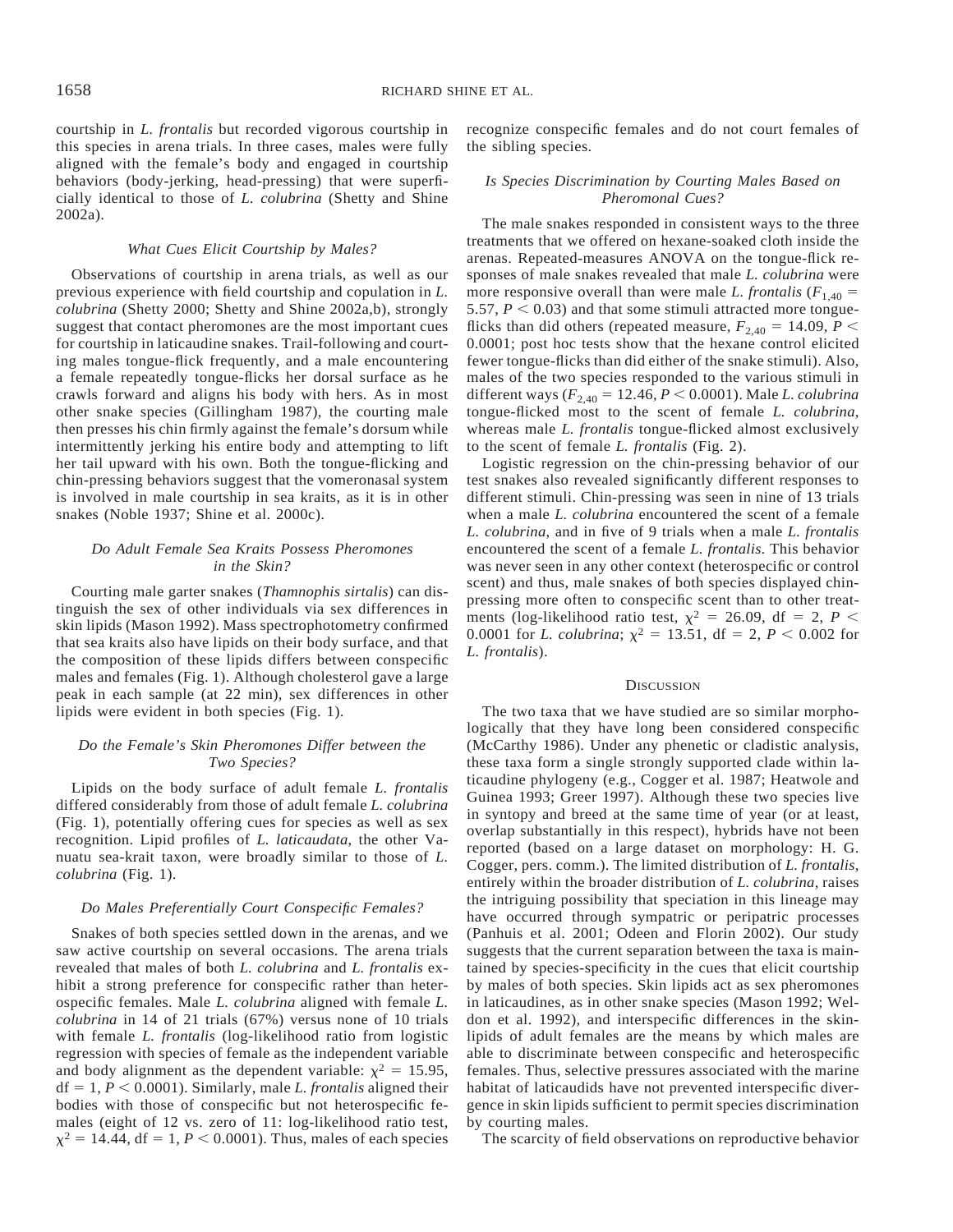courtship in *L. frontalis* but recorded vigorous courtship in this species in arena trials. In three cases, males were fully aligned with the female's body and engaged in courtship behaviors (body-jerking, head-pressing) that were superficially identical to those of *L. colubrina* (Shetty and Shine 2002a).

#### *What Cues Elicit Courtship by Males?*

Observations of courtship in arena trials, as well as our previous experience with field courtship and copulation in *L. colubrina* (Shetty 2000; Shetty and Shine 2002a,b), strongly suggest that contact pheromones are the most important cues for courtship in laticaudine snakes. Trail-following and courting males tongue-flick frequently, and a male encountering a female repeatedly tongue-flicks her dorsal surface as he crawls forward and aligns his body with hers. As in most other snake species (Gillingham 1987), the courting male then presses his chin firmly against the female's dorsum while intermittently jerking his entire body and attempting to lift her tail upward with his own. Both the tongue-flicking and chin-pressing behaviors suggest that the vomeronasal system is involved in male courtship in sea kraits, as it is in other snakes (Noble 1937; Shine et al. 2000c).

# *Do Adult Female Sea Kraits Possess Pheromones in the Skin?*

Courting male garter snakes (*Thamnophis sirtalis*) can distinguish the sex of other individuals via sex differences in skin lipids (Mason 1992). Mass spectrophotometry confirmed that sea kraits also have lipids on their body surface, and that the composition of these lipids differs between conspecific males and females (Fig. 1). Although cholesterol gave a large peak in each sample (at 22 min), sex differences in other lipids were evident in both species (Fig. 1).

# *Do the Female's Skin Pheromones Differ between the Two Species?*

Lipids on the body surface of adult female *L. frontalis* differed considerably from those of adult female *L. colubrina* (Fig. 1), potentially offering cues for species as well as sex recognition. Lipid profiles of *L. laticaudata*, the other Vanuatu sea-krait taxon, were broadly similar to those of *L. colubrina* (Fig. 1).

# *Do Males Preferentially Court Conspecific Females?*

Snakes of both species settled down in the arenas, and we saw active courtship on several occasions. The arena trials revealed that males of both *L. colubrina* and *L. frontalis* exhibit a strong preference for conspecific rather than heterospecific females. Male *L. colubrina* aligned with female *L. colubrina* in 14 of 21 trials (67%) versus none of 10 trials with female *L. frontalis* (log-likelihood ratio from logistic regression with species of female as the independent variable and body alignment as the dependent variable:  $\chi^2 = 15.95$ ,  $df = 1, P < 0.0001$ . Similarly, male *L. frontalis* aligned their bodies with those of conspecific but not heterospecific females (eight of 12 vs. zero of 11: log-likelihood ratio test,  $\chi^2$  = 14.44, df = 1, *P* < 0.0001). Thus, males of each species

recognize conspecific females and do not court females of the sibling species.

# *Is Species Discrimination by Courting Males Based on Pheromonal Cues?*

The male snakes responded in consistent ways to the three treatments that we offered on hexane-soaked cloth inside the arenas. Repeated-measures ANOVA on the tongue-flick responses of male snakes revealed that male *L. colubrina* were more responsive overall than were male *L. frontalis* ( $F_{1,40}$  = 5.57,  $P < 0.03$ ) and that some stimuli attracted more tongueflicks than did others (repeated measure,  $F_{2,40} = 14.09$ ,  $P \le$ 0.0001; post hoc tests show that the hexane control elicited fewer tongue-flicks than did either of the snake stimuli). Also, males of the two species responded to the various stimuli in different ways ( $F_{2,40} = 12.46, P < 0.0001$ ). Male *L. colubrina* tongue-flicked most to the scent of female *L. colubrina*, whereas male *L. frontalis* tongue-flicked almost exclusively to the scent of female *L. frontalis* (Fig. 2).

Logistic regression on the chin-pressing behavior of our test snakes also revealed significantly different responses to different stimuli. Chin-pressing was seen in nine of 13 trials when a male *L. colubrina* encountered the scent of a female *L. colubrina*, and in five of 9 trials when a male *L. frontalis* encountered the scent of a female *L. frontalis*. This behavior was never seen in any other context (heterospecific or control scent) and thus, male snakes of both species displayed chinpressing more often to conspecific scent than to other treatments (log-likelihood ratio test,  $\chi^2$  = 26.09, df = 2, *P* < 0.0001 for *L. colubrina*;  $\chi^2 = 13.51$ , df = 2, *P* < 0.002 for *L. frontalis*).

### **DISCUSSION**

The two taxa that we have studied are so similar morphologically that they have long been considered conspecific (McCarthy 1986). Under any phenetic or cladistic analysis, these taxa form a single strongly supported clade within laticaudine phylogeny (e.g., Cogger et al. 1987; Heatwole and Guinea 1993; Greer 1997). Although these two species live in syntopy and breed at the same time of year (or at least, overlap substantially in this respect), hybrids have not been reported (based on a large dataset on morphology: H. G. Cogger, pers. comm.). The limited distribution of *L. frontalis*, entirely within the broader distribution of *L. colubrina*, raises the intriguing possibility that speciation in this lineage may have occurred through sympatric or peripatric processes (Panhuis et al. 2001; Odeen and Florin 2002). Our study suggests that the current separation between the taxa is maintained by species-specificity in the cues that elicit courtship by males of both species. Skin lipids act as sex pheromones in laticaudines, as in other snake species (Mason 1992; Weldon et al. 1992), and interspecific differences in the skinlipids of adult females are the means by which males are able to discriminate between conspecific and heterospecific females. Thus, selective pressures associated with the marine habitat of laticaudids have not prevented interspecific divergence in skin lipids sufficient to permit species discrimination by courting males.

The scarcity of field observations on reproductive behavior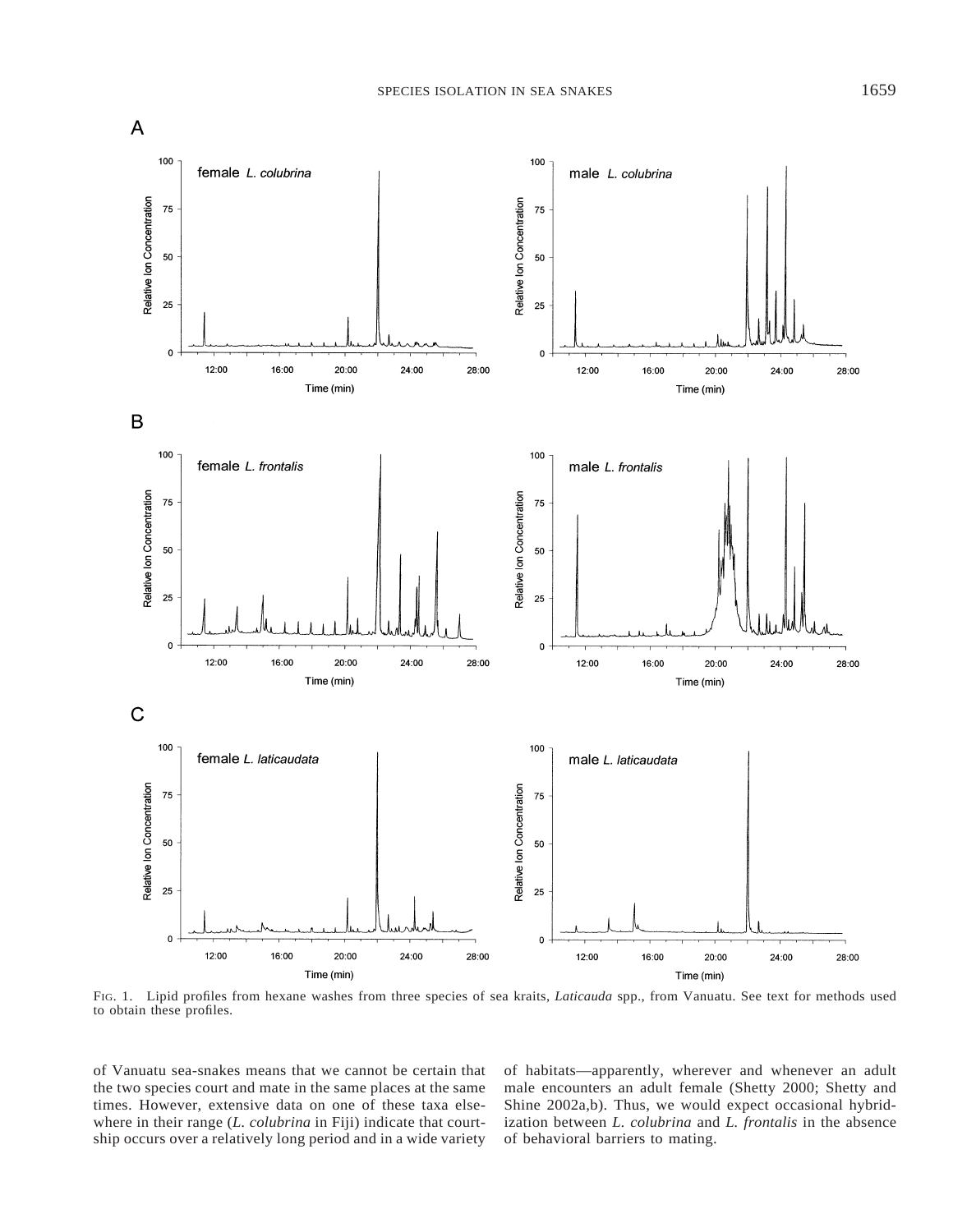

FIG. 1. Lipid profiles from hexane washes from three species of sea kraits, *Laticauda* spp., from Vanuatu. See text for methods used to obtain these profiles.

of Vanuatu sea-snakes means that we cannot be certain that the two species court and mate in the same places at the same times. However, extensive data on one of these taxa elsewhere in their range (*L. colubrina* in Fiji) indicate that courtship occurs over a relatively long period and in a wide variety

of habitats—apparently, wherever and whenever an adult male encounters an adult female (Shetty 2000; Shetty and Shine 2002a,b). Thus, we would expect occasional hybridization between *L. colubrina* and *L. frontalis* in the absence of behavioral barriers to mating.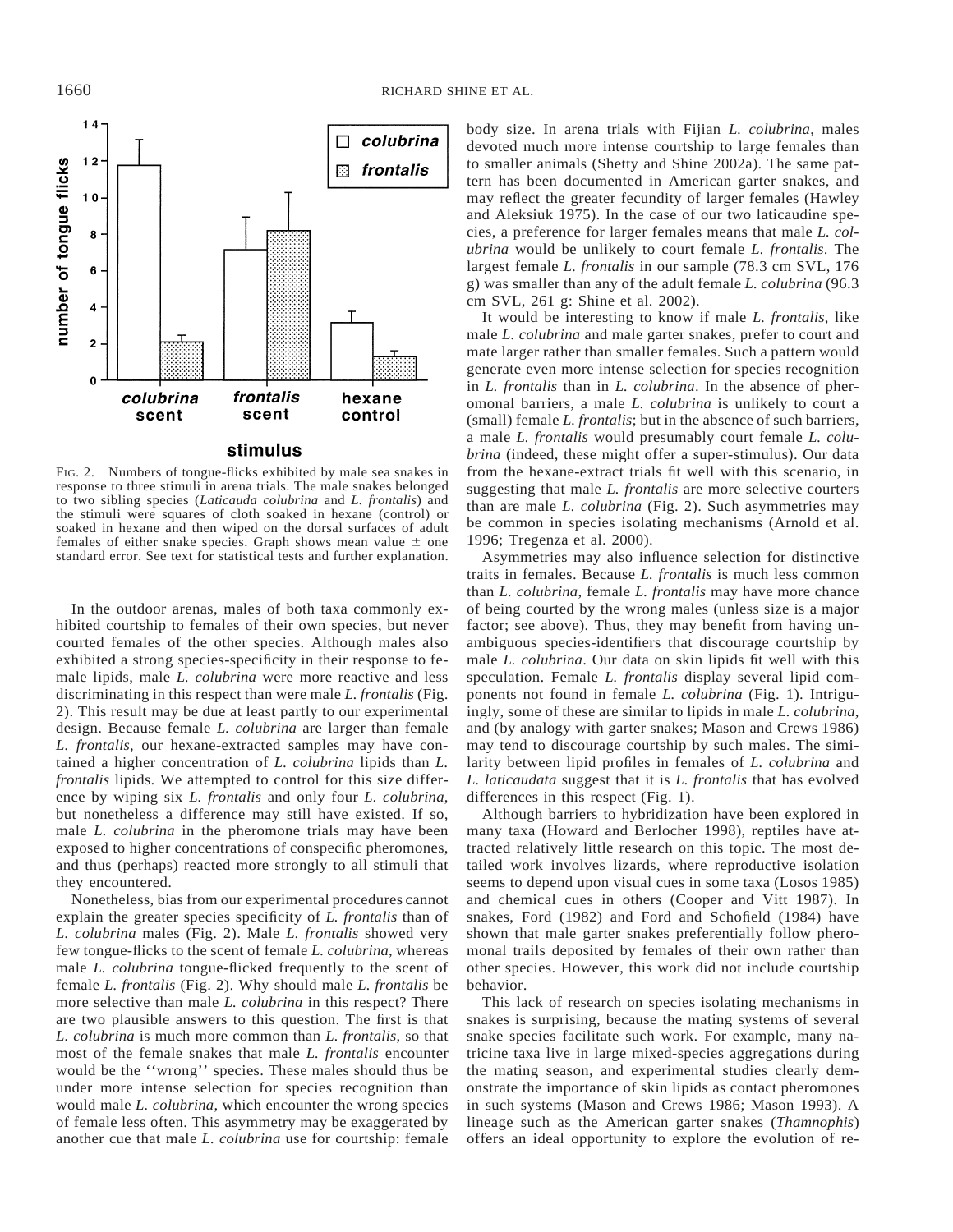

FIG. 2. Numbers of tongue-flicks exhibited by male sea snakes in response to three stimuli in arena trials. The male snakes belonged to two sibling species (*Laticauda colubrina* and *L. frontalis*) and the stimuli were squares of cloth soaked in hexane (control) or soaked in hexane and then wiped on the dorsal surfaces of adult females of either snake species. Graph shows mean value  $\pm$  one standard error. See text for statistical tests and further explanation.

In the outdoor arenas, males of both taxa commonly exhibited courtship to females of their own species, but never courted females of the other species. Although males also exhibited a strong species-specificity in their response to female lipids, male *L. colubrina* were more reactive and less discriminating in this respect than were male *L. frontalis* (Fig. 2). This result may be due at least partly to our experimental design. Because female *L. colubrina* are larger than female *L. frontalis*, our hexane-extracted samples may have contained a higher concentration of *L. colubrina* lipids than *L. frontalis* lipids. We attempted to control for this size difference by wiping six *L. frontalis* and only four *L. colubrina*, but nonetheless a difference may still have existed. If so, male *L. colubrina* in the pheromone trials may have been exposed to higher concentrations of conspecific pheromones, and thus (perhaps) reacted more strongly to all stimuli that they encountered.

Nonetheless, bias from our experimental procedures cannot explain the greater species specificity of *L. frontalis* than of *L. colubrina* males (Fig. 2). Male *L. frontalis* showed very few tongue-flicks to the scent of female *L. colubrina*, whereas male *L. colubrina* tongue-flicked frequently to the scent of female *L. frontalis* (Fig. 2). Why should male *L. frontalis* be more selective than male *L. colubrina* in this respect? There are two plausible answers to this question. The first is that *L. colubrina* is much more common than *L. frontalis*, so that most of the female snakes that male *L. frontalis* encounter would be the ''wrong'' species. These males should thus be under more intense selection for species recognition than would male *L. colubrina*, which encounter the wrong species of female less often. This asymmetry may be exaggerated by another cue that male *L. colubrina* use for courtship: female

body size. In arena trials with Fijian *L. colubrina*, males devoted much more intense courtship to large females than to smaller animals (Shetty and Shine 2002a). The same pattern has been documented in American garter snakes, and may reflect the greater fecundity of larger females (Hawley and Aleksiuk 1975). In the case of our two laticaudine species, a preference for larger females means that male *L. colubrina* would be unlikely to court female *L. frontalis*. The largest female *L. frontalis* in our sample (78.3 cm SVL, 176 g) was smaller than any of the adult female *L. colubrina* (96.3 cm SVL, 261 g: Shine et al. 2002).

It would be interesting to know if male *L. frontalis*, like male *L. colubrina* and male garter snakes, prefer to court and mate larger rather than smaller females. Such a pattern would generate even more intense selection for species recognition in *L. frontalis* than in *L. colubrina*. In the absence of pheromonal barriers, a male *L. colubrina* is unlikely to court a (small) female *L. frontalis*; but in the absence of such barriers, a male *L. frontalis* would presumably court female *L. colubrina* (indeed, these might offer a super-stimulus). Our data from the hexane-extract trials fit well with this scenario, in suggesting that male *L. frontalis* are more selective courters than are male *L. colubrina* (Fig. 2). Such asymmetries may be common in species isolating mechanisms (Arnold et al. 1996; Tregenza et al. 2000).

Asymmetries may also influence selection for distinctive traits in females. Because *L. frontalis* is much less common than *L. colubrina*, female *L. frontalis* may have more chance of being courted by the wrong males (unless size is a major factor; see above). Thus, they may benefit from having unambiguous species-identifiers that discourage courtship by male *L. colubrina*. Our data on skin lipids fit well with this speculation. Female *L. frontalis* display several lipid components not found in female *L. colubrina* (Fig. 1). Intriguingly, some of these are similar to lipids in male *L. colubrina*, and (by analogy with garter snakes; Mason and Crews 1986) may tend to discourage courtship by such males. The similarity between lipid profiles in females of *L. colubrina* and *L. laticaudata* suggest that it is *L. frontalis* that has evolved differences in this respect (Fig. 1).

Although barriers to hybridization have been explored in many taxa (Howard and Berlocher 1998), reptiles have attracted relatively little research on this topic. The most detailed work involves lizards, where reproductive isolation seems to depend upon visual cues in some taxa (Losos 1985) and chemical cues in others (Cooper and Vitt 1987). In snakes, Ford (1982) and Ford and Schofield (1984) have shown that male garter snakes preferentially follow pheromonal trails deposited by females of their own rather than other species. However, this work did not include courtship behavior.

This lack of research on species isolating mechanisms in snakes is surprising, because the mating systems of several snake species facilitate such work. For example, many natricine taxa live in large mixed-species aggregations during the mating season, and experimental studies clearly demonstrate the importance of skin lipids as contact pheromones in such systems (Mason and Crews 1986; Mason 1993). A lineage such as the American garter snakes (*Thamnophis*) offers an ideal opportunity to explore the evolution of re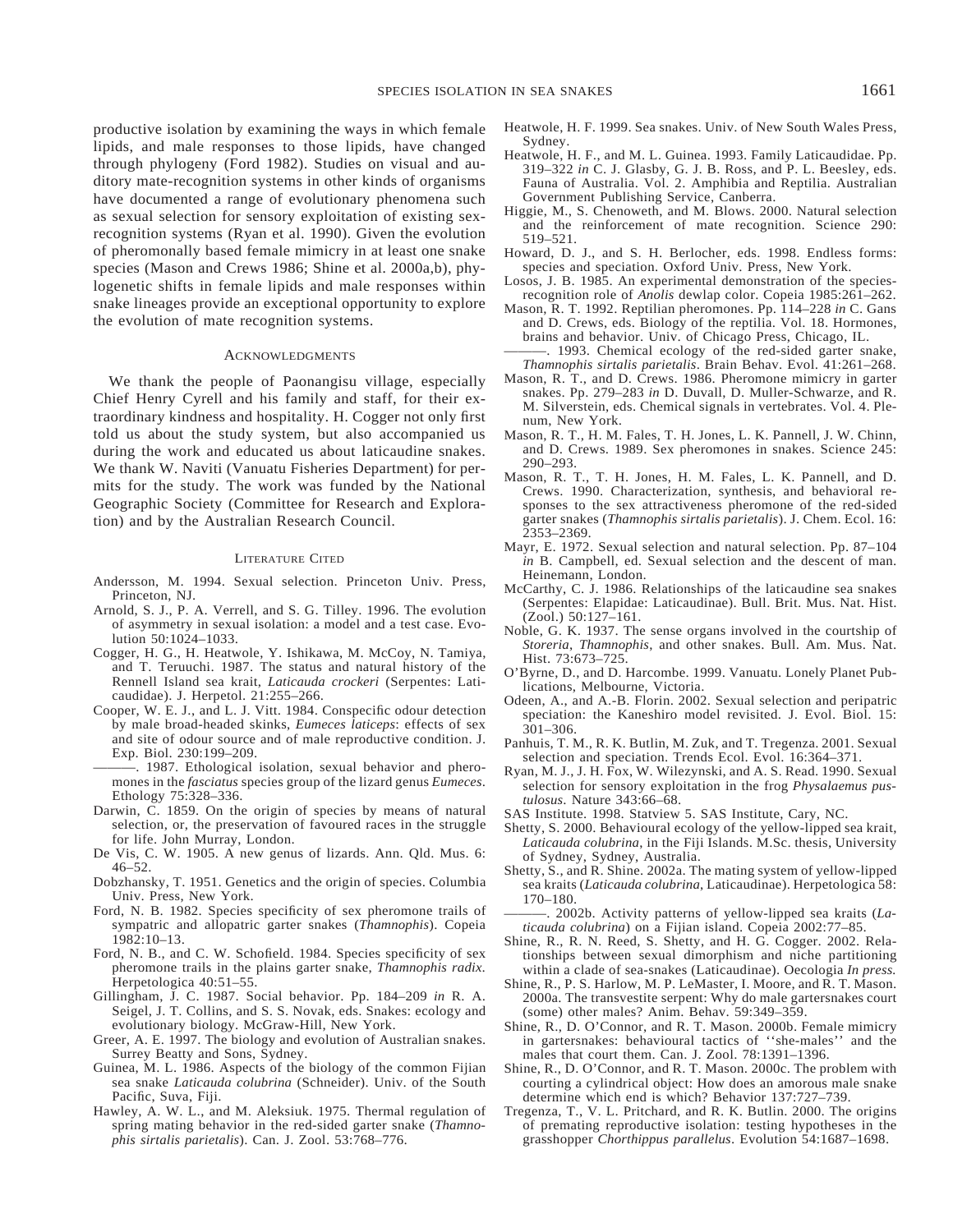productive isolation by examining the ways in which female lipids, and male responses to those lipids, have changed through phylogeny (Ford 1982). Studies on visual and auditory mate-recognition systems in other kinds of organisms have documented a range of evolutionary phenomena such as sexual selection for sensory exploitation of existing sexrecognition systems (Ryan et al. 1990). Given the evolution of pheromonally based female mimicry in at least one snake species (Mason and Crews 1986; Shine et al. 2000a,b), phylogenetic shifts in female lipids and male responses within snake lineages provide an exceptional opportunity to explore the evolution of mate recognition systems.

### **ACKNOWLEDGMENTS**

We thank the people of Paonangisu village, especially Chief Henry Cyrell and his family and staff, for their extraordinary kindness and hospitality. H. Cogger not only first told us about the study system, but also accompanied us during the work and educated us about laticaudine snakes. We thank W. Naviti (Vanuatu Fisheries Department) for permits for the study. The work was funded by the National Geographic Society (Committee for Research and Exploration) and by the Australian Research Council.

### LITERATURE CITED

- Andersson, M. 1994. Sexual selection. Princeton Univ. Press, Princeton, NJ.
- Arnold, S. J., P. A. Verrell, and S. G. Tilley. 1996. The evolution of asymmetry in sexual isolation: a model and a test case. Evolution 50:1024–1033.
- Cogger, H. G., H. Heatwole, Y. Ishikawa, M. McCoy, N. Tamiya, and T. Teruuchi. 1987. The status and natural history of the Rennell Island sea krait, *Laticauda crockeri* (Serpentes: Laticaudidae). J. Herpetol. 21:255–266.
- Cooper, W. E. J., and L. J. Vitt. 1984. Conspecific odour detection by male broad-headed skinks, *Eumeces laticeps*: effects of sex and site of odour source and of male reproductive condition. J. Exp. Biol. 230:199–209.

-. 1987. Ethological isolation, sexual behavior and pheromones in the *fasciatus* species group of the lizard genus *Eumeces*. Ethology 75:328–336.

- Darwin, C. 1859. On the origin of species by means of natural selection, or, the preservation of favoured races in the struggle for life. John Murray, London.
- De Vis, C. W. 1905. A new genus of lizards. Ann. Qld. Mus. 6: 46–52.
- Dobzhansky, T. 1951. Genetics and the origin of species. Columbia Univ. Press, New York.
- Ford, N. B. 1982. Species specificity of sex pheromone trails of sympatric and allopatric garter snakes (*Thamnophis*). Copeia 1982:10–13.
- Ford, N. B., and C. W. Schofield. 1984. Species specificity of sex pheromone trails in the plains garter snake, *Thamnophis radix*. Herpetologica 40:51–55.
- Gillingham, J. C. 1987. Social behavior. Pp. 184–209 *in* R. A. Seigel, J. T. Collins, and S. S. Novak, eds. Snakes: ecology and evolutionary biology. McGraw-Hill, New York.
- Greer, A. E. 1997. The biology and evolution of Australian snakes. Surrey Beatty and Sons, Sydney.
- Guinea, M. L. 1986. Aspects of the biology of the common Fijian sea snake *Laticauda colubrina* (Schneider). Univ. of the South Pacific, Suva, Fiji.
- Hawley, A. W. L., and M. Aleksiuk. 1975. Thermal regulation of spring mating behavior in the red-sided garter snake (*Thamnophis sirtalis parietalis*). Can. J. Zool. 53:768–776.
- Heatwole, H. F. 1999. Sea snakes. Univ. of New South Wales Press, Sydney.
- Heatwole, H. F., and M. L. Guinea. 1993. Family Laticaudidae. Pp. 319–322 *in* C. J. Glasby, G. J. B. Ross, and P. L. Beesley, eds. Fauna of Australia. Vol. 2. Amphibia and Reptilia. Australian Government Publishing Service, Canberra.
- Higgie, M., S. Chenoweth, and M. Blows. 2000. Natural selection and the reinforcement of mate recognition. Science 290: 519–521.
- Howard, D. J., and S. H. Berlocher, eds. 1998. Endless forms: species and speciation. Oxford Univ. Press, New York.
- Losos, J. B. 1985. An experimental demonstration of the speciesrecognition role of *Anolis* dewlap color. Copeia 1985:261–262.
- Mason, R. T. 1992. Reptilian pheromones. Pp. 114–228 *in* C. Gans and D. Crews, eds. Biology of the reptilia. Vol. 18. Hormones, brains and behavior. Univ. of Chicago Press, Chicago, IL.
- 1993. Chemical ecology of the red-sided garter snake, *Thamnophis sirtalis parietalis*. Brain Behav. Evol. 41:261–268.
- Mason, R. T., and D. Crews. 1986. Pheromone mimicry in garter snakes. Pp. 279–283 *in* D. Duvall, D. Muller-Schwarze, and R. M. Silverstein, eds. Chemical signals in vertebrates. Vol. 4. Plenum, New York.
- Mason, R. T., H. M. Fales, T. H. Jones, L. K. Pannell, J. W. Chinn, and D. Crews. 1989. Sex pheromones in snakes. Science 245: 290–293.
- Mason, R. T., T. H. Jones, H. M. Fales, L. K. Pannell, and D. Crews. 1990. Characterization, synthesis, and behavioral responses to the sex attractiveness pheromone of the red-sided garter snakes (*Thamnophis sirtalis parietalis*). J. Chem. Ecol. 16: 2353–2369.
- Mayr, E. 1972. Sexual selection and natural selection. Pp. 87–104 *in* B. Campbell, ed. Sexual selection and the descent of man. Heinemann, London.
- McCarthy, C. J. 1986. Relationships of the laticaudine sea snakes (Serpentes: Elapidae: Laticaudinae). Bull. Brit. Mus. Nat. Hist. (Zool.) 50:127–161.
- Noble, G. K. 1937. The sense organs involved in the courtship of *Storeria*, *Thamnophis*, and other snakes. Bull. Am. Mus. Nat. Hist. 73:673–725.
- O'Byrne, D., and D. Harcombe. 1999. Vanuatu. Lonely Planet Publications, Melbourne, Victoria.
- Odeen, A., and A.-B. Florin. 2002. Sexual selection and peripatric speciation: the Kaneshiro model revisited. J. Evol. Biol. 15: 301–306.
- Panhuis, T. M., R. K. Butlin, M. Zuk, and T. Tregenza. 2001. Sexual selection and speciation. Trends Ecol. Evol. 16:364–371.
- Ryan, M. J., J. H. Fox, W. Wilezynski, and A. S. Read. 1990. Sexual selection for sensory exploitation in the frog *Physalaemus pustulosus*. Nature 343:66–68.
- SAS Institute. 1998. Statview 5. SAS Institute, Cary, NC.
- Shetty, S. 2000. Behavioural ecology of the yellow-lipped sea krait, *Laticauda colubrina*, in the Fiji Islands. M.Sc. thesis, University of Sydney, Sydney, Australia.
- Shetty, S., and R. Shine. 2002a. The mating system of yellow-lipped sea kraits (*Laticauda colubrina*, Laticaudinae). Herpetologica 58: 170–180.
- 2002b. Activity patterns of yellow-lipped sea kraits (La*ticauda colubrina*) on a Fijian island. Copeia 2002:77–85.
- Shine, R., R. N. Reed, S. Shetty, and H. G. Cogger. 2002. Relationships between sexual dimorphism and niche partitioning within a clade of sea-snakes (Laticaudinae). Oecologia *In press.*
- Shine, R., P. S. Harlow, M. P. LeMaster, I. Moore, and R. T. Mason. 2000a. The transvestite serpent: Why do male gartersnakes court (some) other males? Anim. Behav. 59:349–359.
- Shine, R., D. O'Connor, and R. T. Mason. 2000b. Female mimicry in gartersnakes: behavioural tactics of ''she-males'' and the males that court them. Can. J. Zool. 78:1391–1396.
- Shine, R., D. O'Connor, and R. T. Mason. 2000c. The problem with courting a cylindrical object: How does an amorous male snake determine which end is which? Behavior 137:727–739.
- Tregenza, T., V. L. Pritchard, and R. K. Butlin. 2000. The origins of premating reproductive isolation: testing hypotheses in the grasshopper *Chorthippus parallelus*. Evolution 54:1687–1698.